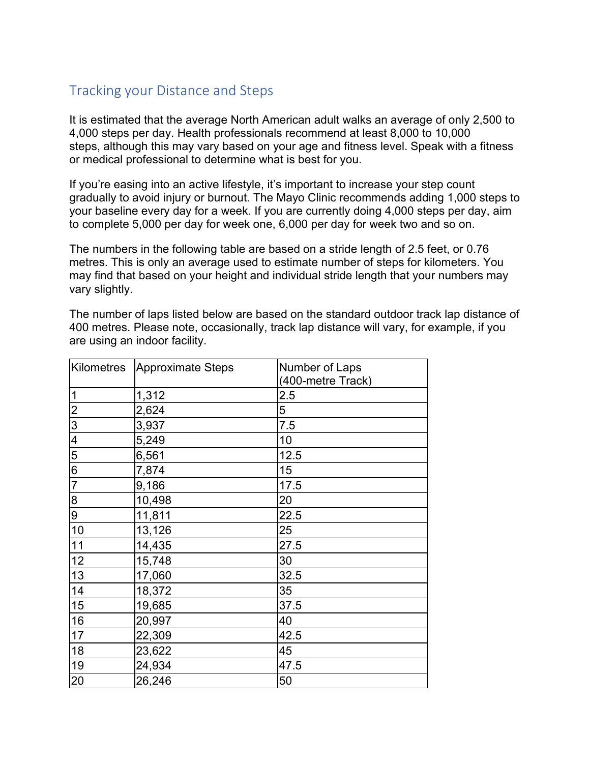## Tracking your Distance and Steps

It is estimated that the average North American adult walks an average of only 2,500 to 4,000 steps per day. Health professionals recommend at least 8,000 to 10,000 steps, although this may vary based on your age and fitness level. Speak with a fitness or medical professional to determine what is best for you.

If you're easing into an active lifestyle, it's important to increase your step count gradually to avoid injury or burnout. The Mayo Clinic recommends adding 1,000 steps to your baseline every day for a week. If you are currently doing 4,000 steps per day, aim to complete 5,000 per day for week one, 6,000 per day for week two and so on.

The numbers in the following table are based on a stride length of 2.5 feet, or 0.76 metres. This is only an average used to estimate number of steps for kilometers. You may find that based on your height and individual stride length that your numbers may vary slightly.

The number of laps listed below are based on the standard outdoor track lap distance of 400 metres. Please note, occasionally, track lap distance will vary, for example, if you are using an indoor facility.

| Kilometres       | Approximate Steps | Number of Laps<br>(400-metre Track) |  |
|------------------|-------------------|-------------------------------------|--|
| $\overline{1}$   | 1,312             | 2.5                                 |  |
| $\overline{c}$   | 2,624             | 5                                   |  |
| $\overline{3}$   | 3,937             | 7.5                                 |  |
| $\overline{4}$   | 5,249             | 10                                  |  |
| 5                | 6,561             | 12.5                                |  |
| $6\overline{6}$  | 7,874             | 15                                  |  |
| $\overline{7}$   | 9,186             | 17.5                                |  |
| $\bf 8$          | 10,498            | 20                                  |  |
| $\boldsymbol{9}$ | 11,811            | 22.5                                |  |
| 10               | 13,126            | 25                                  |  |
| 11               | 14,435            | 27.5                                |  |
| 12               | 15,748            | 30                                  |  |
| 13               | 17,060            | 32.5                                |  |
| 14               | 18,372            | 35                                  |  |
| 15               | 19,685            | 37.5                                |  |
| 16               | 20,997            | 40                                  |  |
| 17               | 22,309            | 42.5                                |  |
| 18               | 23,622            | 45                                  |  |
| 19               | 24,934            | 47.5                                |  |
| 20               | 26,246            | 50                                  |  |